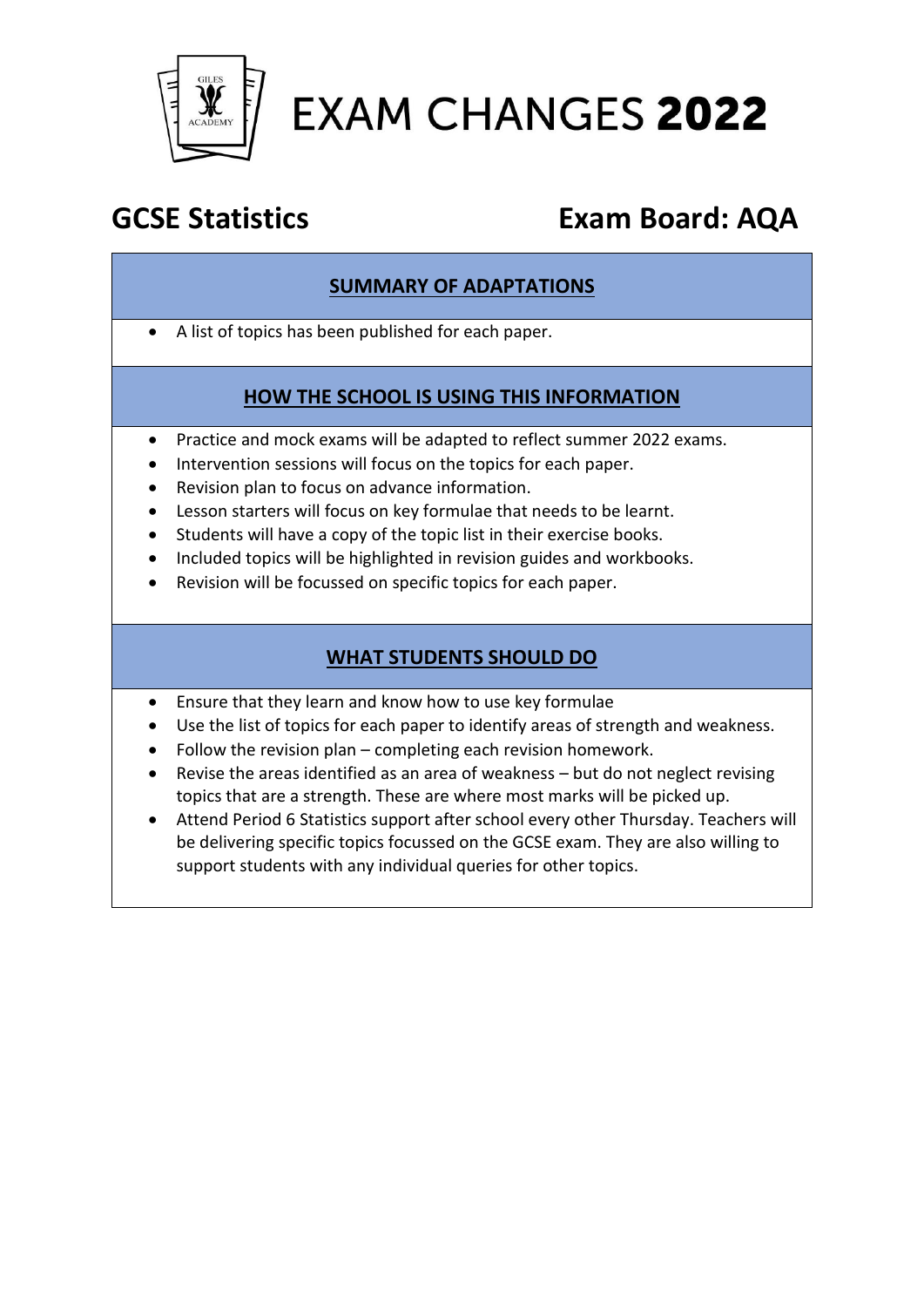

# **EXAM CHANGES 2022**

# **GCSE Statistics Exam Board: AQA**

#### **SUMMARY OF ADAPTATIONS**

• A list of topics has been published for each paper.

#### **HOW THE SCHOOL IS USING THIS INFORMATION**

- Practice and mock exams will be adapted to reflect summer 2022 exams.
- Intervention sessions will focus on the topics for each paper.
- Revision plan to focus on advance information.
- Lesson starters will focus on key formulae that needs to be learnt.
- Students will have a copy of the topic list in their exercise books.
- Included topics will be highlighted in revision guides and workbooks.
- Revision will be focussed on specific topics for each paper.

### **WHAT STUDENTS SHOULD DO**

- Ensure that they learn and know how to use key formulae
- Use the list of topics for each paper to identify areas of strength and weakness.
- Follow the revision plan completing each revision homework.
- Revise the areas identified as an area of weakness but do not neglect revising topics that are a strength. These are where most marks will be picked up.
- Attend Period 6 Statistics support after school every other Thursday. Teachers will be delivering specific topics focussed on the GCSE exam. They are also willing to support students with any individual queries for other topics.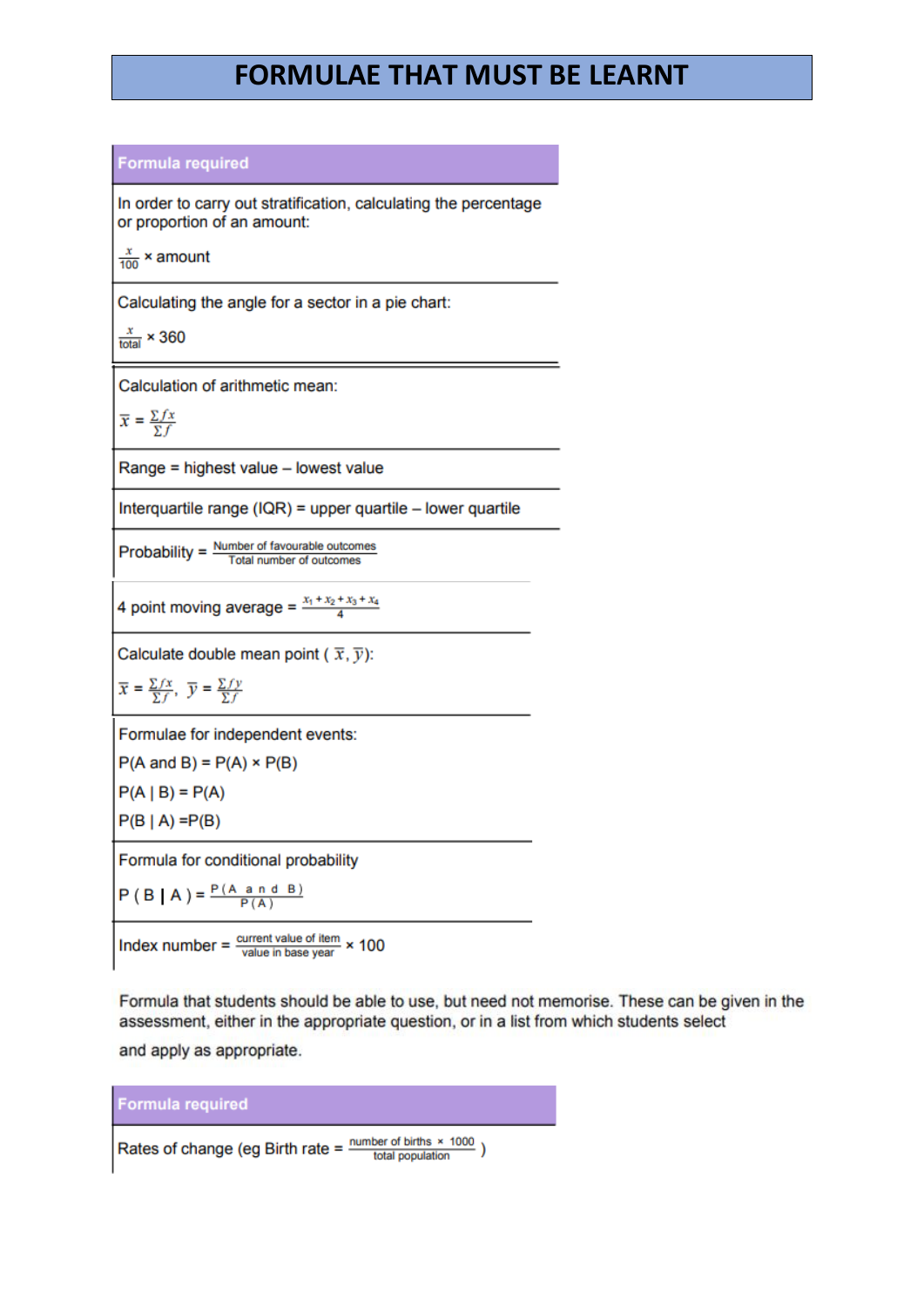## **FORMULAE THAT MUST BE LEARNT**

#### **Formula required**

In order to carry out stratification, calculating the percentage or proportion of an amount:

 $\frac{x}{100}$  × amount

Calculating the angle for a sector in a pie chart:

 $\frac{x}{\text{total}}$  × 360

Calculation of arithmetic mean:

$$
\overline{x} = \frac{\sum fx}{\sum f}
$$

Range = highest value - lowest value

Interquartile range (IQR) = upper quartile  $-$  lower quartile

Probability =  $\frac{\text{Number of favourable outcomes}}{\text{Total price}}$ Total number of outcomes

4 point moving average =  $\frac{x_1 + x_2 + x_3 + x_4}{4}$ 

Calculate double mean point ( $\bar{x}, \bar{y}$ ):

$$
\overline{x} = \frac{\sum fx}{\sum f}, \ \overline{y} = \frac{\sum fy}{\sum f}
$$

Formulae for independent events:

 $P(A \text{ and } B) = P(A) \times P(B)$ 

 $P(A | B) = P(A)$ 

 $P(B | A) = P(B)$ 

Formula for conditional probability

 $P(B | A) = \frac{P(A \text{ and } B)}{P(A)}$ 

Index number =  $\frac{\text{current value of item}}{\text{value in base year}} \times 100$ 

Formula that students should be able to use, but need not memorise. These can be given in the assessment, either in the appropriate question, or in a list from which students select

and apply as appropriate.



Rates of change (eg Birth rate =  $\frac{\text{number of births } \times 1000}{\text{total population}}$ )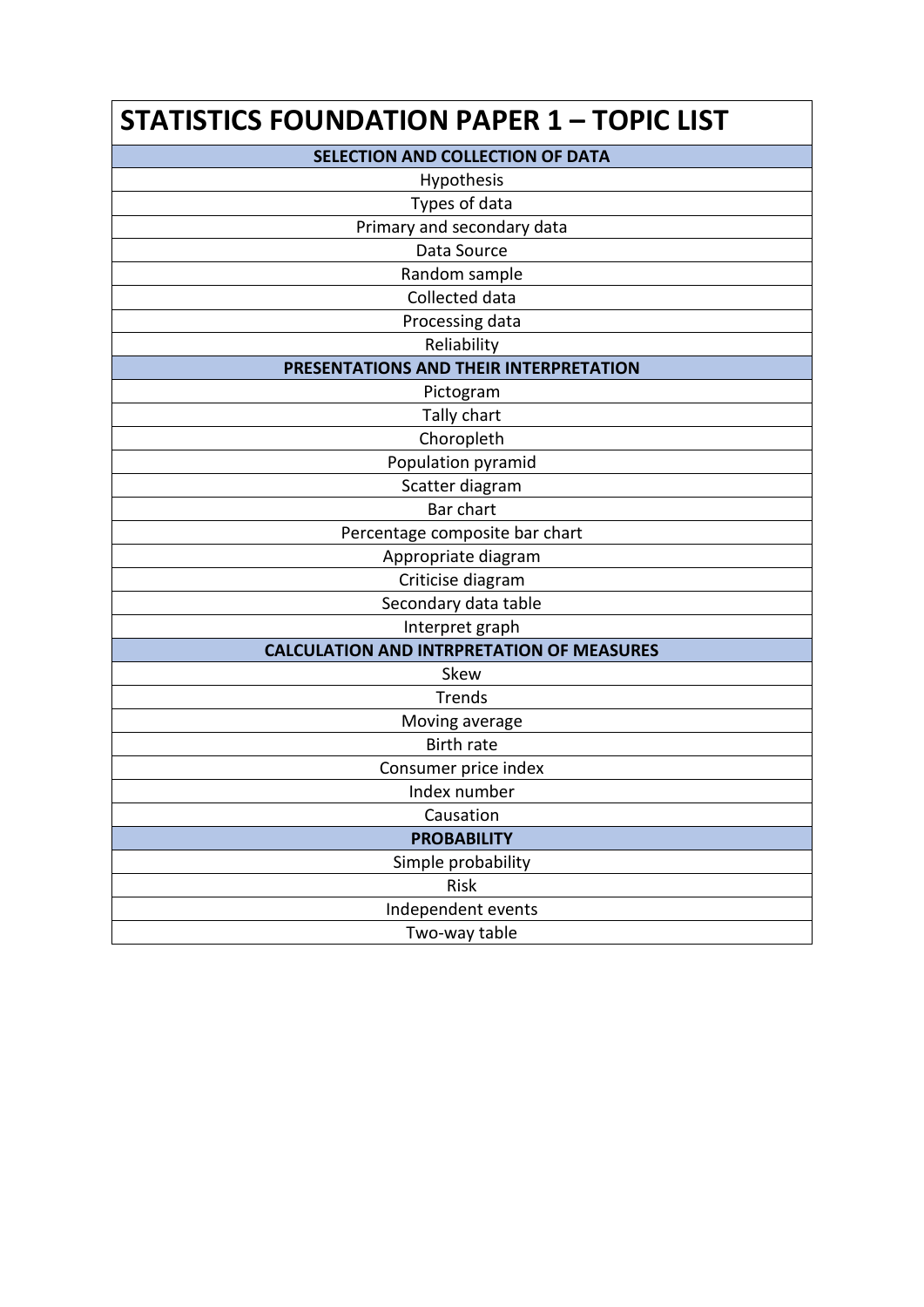| <b>STATISTICS FOUNDATION PAPER 1 - TOPIC LIST</b> |
|---------------------------------------------------|
| SELECTION AND COLLECTION OF DATA                  |
| Hypothesis                                        |
| Types of data                                     |
| Primary and secondary data                        |
| Data Source                                       |
| Random sample                                     |
| Collected data                                    |
| Processing data                                   |
| Reliability                                       |
| PRESENTATIONS AND THEIR INTERPRETATION            |
| Pictogram                                         |
| Tally chart                                       |
| Choropleth                                        |
| Population pyramid                                |
| Scatter diagram                                   |
| Bar chart                                         |
| Percentage composite bar chart                    |
| Appropriate diagram                               |
| Criticise diagram                                 |
| Secondary data table                              |
| Interpret graph                                   |
| <b>CALCULATION AND INTRPRETATION OF MEASURES</b>  |
| Skew                                              |
| <b>Trends</b>                                     |
| Moving average                                    |
| <b>Birth rate</b>                                 |
| Consumer price index                              |
| Index number                                      |
| Causation                                         |
| <b>PROBABILITY</b>                                |
| Simple probability                                |
| Risk                                              |
| Independent events                                |
| Two-way table                                     |